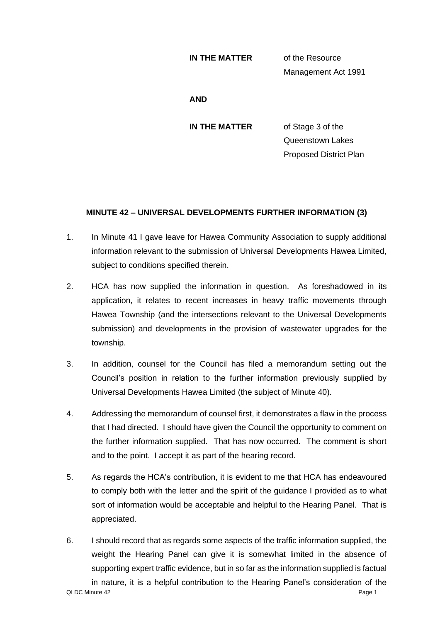## **IN THE MATTER** of the Resource

Management Act 1991

**AND**

**IN THE MATTER** of Stage 3 of the Queenstown Lakes Proposed District Plan

## **MINUTE 42 – UNIVERSAL DEVELOPMENTS FURTHER INFORMATION (3)**

- 1. In Minute 41 I gave leave for Hawea Community Association to supply additional information relevant to the submission of Universal Developments Hawea Limited, subject to conditions specified therein.
- 2. HCA has now supplied the information in question. As foreshadowed in its application, it relates to recent increases in heavy traffic movements through Hawea Township (and the intersections relevant to the Universal Developments submission) and developments in the provision of wastewater upgrades for the township.
- 3. In addition, counsel for the Council has filed a memorandum setting out the Council's position in relation to the further information previously supplied by Universal Developments Hawea Limited (the subject of Minute 40).
- 4. Addressing the memorandum of counsel first, it demonstrates a flaw in the process that I had directed. I should have given the Council the opportunity to comment on the further information supplied. That has now occurred. The comment is short and to the point. I accept it as part of the hearing record.
- 5. As regards the HCA's contribution, it is evident to me that HCA has endeavoured to comply both with the letter and the spirit of the guidance I provided as to what sort of information would be acceptable and helpful to the Hearing Panel. That is appreciated.
- QLDC Minute 42 Page 1 6. I should record that as regards some aspects of the traffic information supplied, the weight the Hearing Panel can give it is somewhat limited in the absence of supporting expert traffic evidence, but in so far as the information supplied is factual in nature, it is a helpful contribution to the Hearing Panel's consideration of the